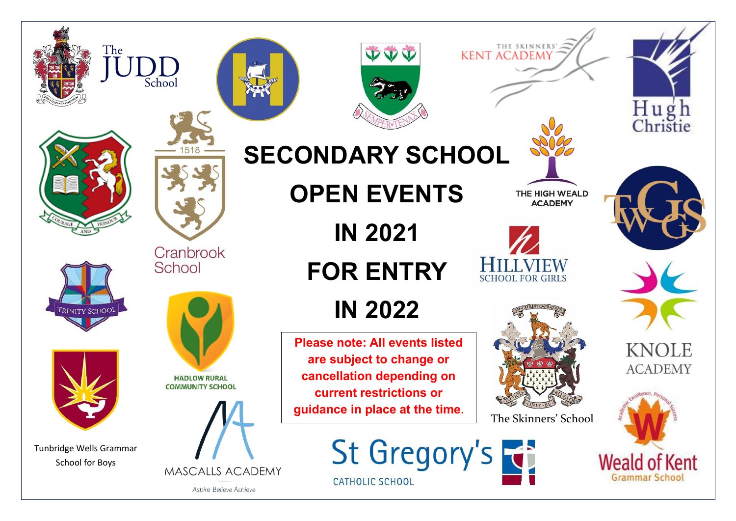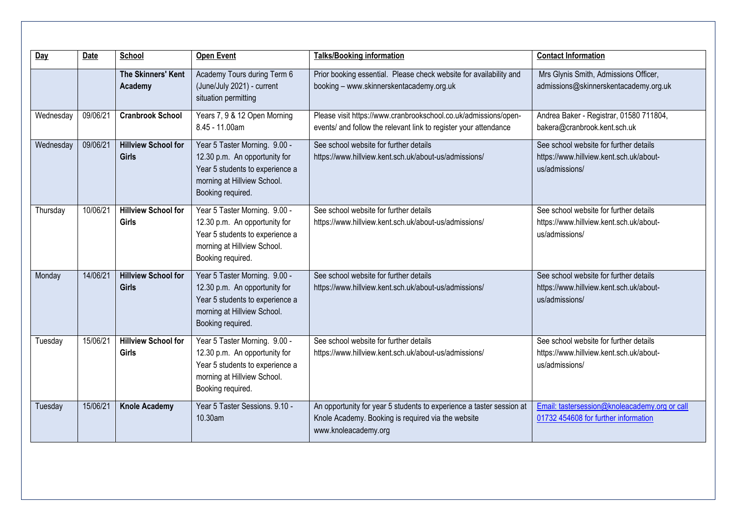| Day       | Date     | School                                     | <b>Open Event</b>                                                                                                                                     | <b>Talks/Booking information</b>                                                                                                                   | <b>Contact Information</b>                                                                          |
|-----------|----------|--------------------------------------------|-------------------------------------------------------------------------------------------------------------------------------------------------------|----------------------------------------------------------------------------------------------------------------------------------------------------|-----------------------------------------------------------------------------------------------------|
|           |          | The Skinners' Kent<br>Academy              | Academy Tours during Term 6<br>(June/July 2021) - current<br>situation permitting                                                                     | Prior booking essential. Please check website for availability and<br>booking - www.skinnerskentacademy.org.uk                                     | Mrs Glynis Smith, Admissions Officer,<br>admissions@skinnerskentacademy.org.uk                      |
| Wednesday | 09/06/21 | <b>Cranbrook School</b>                    | Years 7, 9 & 12 Open Morning<br>8.45 - 11.00am                                                                                                        | Please visit https://www.cranbrookschool.co.uk/admissions/open-<br>events/ and follow the relevant link to register your attendance                | Andrea Baker - Registrar, 01580 711804,<br>bakera@cranbrook.kent.sch.uk                             |
| Wednesday | 09/06/21 | <b>Hillview School for</b><br><b>Girls</b> | Year 5 Taster Morning. 9.00 -<br>12.30 p.m. An opportunity for<br>Year 5 students to experience a<br>morning at Hillview School.<br>Booking required. | See school website for further details<br>https://www.hillview.kent.sch.uk/about-us/admissions/                                                    | See school website for further details<br>https://www.hillview.kent.sch.uk/about-<br>us/admissions/ |
| Thursday  | 10/06/21 | <b>Hillview School for</b><br><b>Girls</b> | Year 5 Taster Morning. 9.00 -<br>12.30 p.m. An opportunity for<br>Year 5 students to experience a<br>morning at Hillview School.<br>Booking required. | See school website for further details<br>https://www.hillview.kent.sch.uk/about-us/admissions/                                                    | See school website for further details<br>https://www.hillview.kent.sch.uk/about-<br>us/admissions/ |
| Monday    | 14/06/21 | <b>Hillview School for</b><br><b>Girls</b> | Year 5 Taster Morning. 9.00 -<br>12.30 p.m. An opportunity for<br>Year 5 students to experience a<br>morning at Hillview School.<br>Booking required. | See school website for further details<br>https://www.hillview.kent.sch.uk/about-us/admissions/                                                    | See school website for further details<br>https://www.hillview.kent.sch.uk/about-<br>us/admissions/ |
| Tuesday   | 15/06/21 | <b>Hillview School for</b><br><b>Girls</b> | Year 5 Taster Morning. 9.00 -<br>12.30 p.m. An opportunity for<br>Year 5 students to experience a<br>morning at Hillview School.<br>Booking required. | See school website for further details<br>https://www.hillview.kent.sch.uk/about-us/admissions/                                                    | See school website for further details<br>https://www.hillview.kent.sch.uk/about-<br>us/admissions/ |
| Tuesday   | 15/06/21 | <b>Knole Academy</b>                       | Year 5 Taster Sessions. 9.10 -<br>10.30am                                                                                                             | An opportunity for year 5 students to experience a taster session at<br>Knole Academy. Booking is required via the website<br>www.knoleacademy.org | Email: tastersession@knoleacademy.org or call<br>01732 454608 for further information               |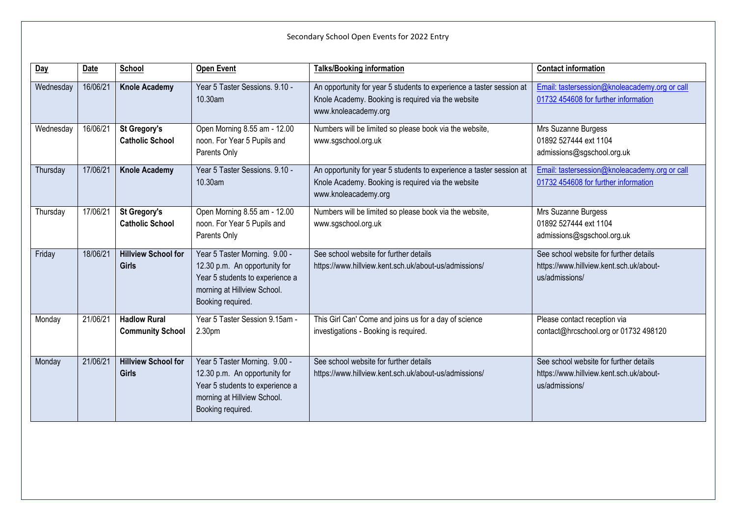| Secondary School Open Events for 2022 Entry |          |                                                |                                                                                                                                                       |                                                                                                                                                    |                                                                                                     |
|---------------------------------------------|----------|------------------------------------------------|-------------------------------------------------------------------------------------------------------------------------------------------------------|----------------------------------------------------------------------------------------------------------------------------------------------------|-----------------------------------------------------------------------------------------------------|
| Day                                         | Date     | School                                         | <b>Open Event</b>                                                                                                                                     | <b>Talks/Booking information</b>                                                                                                                   | <b>Contact information</b>                                                                          |
| Wednesday                                   | 16/06/21 | <b>Knole Academy</b>                           | Year 5 Taster Sessions. 9.10 -<br>10.30am                                                                                                             | An opportunity for year 5 students to experience a taster session at<br>Knole Academy. Booking is required via the website<br>www.knoleacademy.org | Email: tastersession@knoleacademy.org or call<br>01732 454608 for further information               |
| Wednesday                                   | 16/06/21 | <b>St Gregory's</b><br><b>Catholic School</b>  | Open Morning 8.55 am - 12.00<br>noon. For Year 5 Pupils and<br>Parents Only                                                                           | Numbers will be limited so please book via the website,<br>www.sgschool.org.uk                                                                     | Mrs Suzanne Burgess<br>01892 527444 ext 1104<br>admissions@sgschool.org.uk                          |
| Thursday                                    | 17/06/21 | <b>Knole Academy</b>                           | Year 5 Taster Sessions, 9.10 -<br>10.30am                                                                                                             | An opportunity for year 5 students to experience a taster session at<br>Knole Academy. Booking is required via the website<br>www.knoleacademy.org | Email: tastersession@knoleacademy.org or call<br>01732 454608 for further information               |
| Thursday                                    | 17/06/21 | <b>St Gregory's</b><br><b>Catholic School</b>  | Open Morning 8.55 am - 12.00<br>noon. For Year 5 Pupils and<br>Parents Only                                                                           | Numbers will be limited so please book via the website,<br>www.sgschool.org.uk                                                                     | Mrs Suzanne Burgess<br>01892 527444 ext 1104<br>admissions@sgschool.org.uk                          |
| Friday                                      | 18/06/21 | <b>Hillview School for</b><br><b>Girls</b>     | Year 5 Taster Morning. 9.00 -<br>12.30 p.m. An opportunity for<br>Year 5 students to experience a<br>morning at Hillview School.<br>Booking required. | See school website for further details<br>https://www.hillview.kent.sch.uk/about-us/admissions/                                                    | See school website for further details<br>https://www.hillview.kent.sch.uk/about-<br>us/admissions/ |
| Monday                                      | 21/06/21 | <b>Hadlow Rural</b><br><b>Community School</b> | Year 5 Taster Session 9.15am -<br>2.30pm                                                                                                              | This Girl Can' Come and joins us for a day of science<br>investigations - Booking is required.                                                     | Please contact reception via<br>contact@hrcschool.org or 01732 498120                               |
| Monday                                      | 21/06/21 | <b>Hillview School for</b><br><b>Girls</b>     | Year 5 Taster Morning. 9.00 -<br>12.30 p.m. An opportunity for<br>Year 5 students to experience a<br>morning at Hillview School.<br>Booking required. | See school website for further details<br>https://www.hillview.kent.sch.uk/about-us/admissions/                                                    | See school website for further details<br>https://www.hillview.kent.sch.uk/about-<br>us/admissions/ |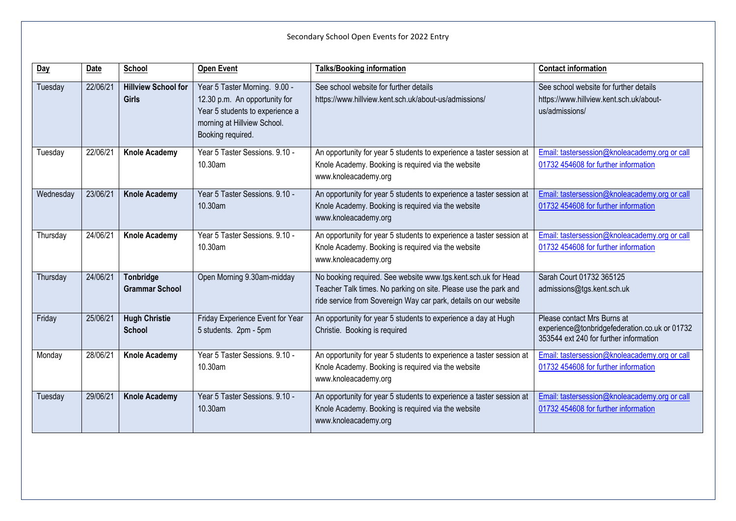**Day Date School Open Event Talks/Booking information Contact information** Tuesday 22/06/21 **Hillview School for Girls** Year 5 Taster Morning. 9.00 - 12.30 p.m. An opportunity for Year 5 students to experience a morning at Hillview School. Booking required. See school website for further details https://www.hillview.kent.sch.uk/about-us/admissions/ See school website for further details https://www.hillview.kent.sch.uk/aboutus/admissions/ Tuesday 22/06/21 **Knole Academy** Year 5 Taster Sessions. 9.10 - 10.30am An opportunity for year 5 students to experience a taster session at Knole Academy. Booking is required via the website www.knoleacademy.org [Email: tastersession@knoleacademy.org or call](mailto:tastersession@knoleacademy.org)  [01732 454608 for further information](mailto:tastersession@knoleacademy.org) Wednesday 23/06/21 **Knole Academy** Year 5 Taster Sessions. 9.10 - 10.30am An opportunity for year 5 students to experience a taster session at Knole Academy. Booking is required via the website www.knoleacademy.org [Email: tastersession@knoleacademy.org or call](mailto:tastersession@knoleacademy.org)  [01732 454608 for further information](mailto:tastersession@knoleacademy.org) Thursday 24/06/21 **Knole Academy** Year 5 Taster Sessions. 9.10 - 10.30am An opportunity for year 5 students to experience a taster session at Knole Academy. Booking is required via the website www.knoleacademy.org [Email: tastersession@knoleacademy.org or call](mailto:tastersession@knoleacademy.org)  [01732 454608 for further information](mailto:tastersession@knoleacademy.org) Thursday 24/06/21 **Tonbridge Grammar School** Open Morning 9.30am-midday | No booking required. See website www.tgs.kent.sch.uk for Head Teacher Talk times. No parking on site. Please use the park and ride service from Sovereign Way car park, details on our website Sarah Court 01732 365125 admissions@tgs.kent.sch.uk Friday 25/06/21 **Hugh Christie School** Friday Experience Event for Year 5 students. 2pm - 5pm An opportunity for year 5 students to experience a day at Hugh Christie. Booking is required Please contact Mrs Burns at experience@tonbridgefederation.co.uk or 01732 353544 ext 240 for further information Monday 28/06/21 **Knole Academy** Year 5 Taster Sessions. 9.10 - 10.30am An opportunity for year 5 students to experience a taster session at Knole Academy. Booking is required via the website www.knoleacademy.org [Email: tastersession@knoleacademy.org or call](mailto:tastersession@knoleacademy.org)  [01732 454608 for further information](mailto:tastersession@knoleacademy.org) Tuesday 29/06/21 **Knole Academy** Year 5 Taster Sessions. 9.10 - 10.30am An opportunity for year 5 students to experience a taster session at Knole Academy. Booking is required via the website www.knoleacademy.org [Email: tastersession@knoleacademy.org or call](mailto:tastersession@knoleacademy.org)  [01732 454608 for further information](mailto:tastersession@knoleacademy.org)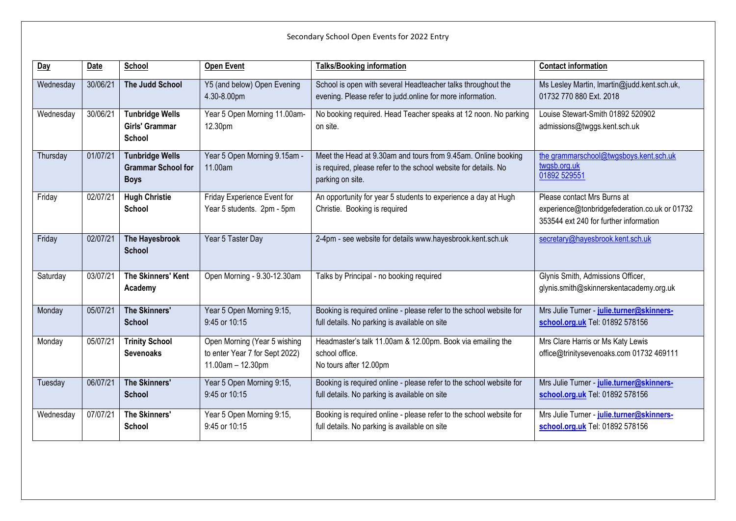| Day       | Date     | School                                                             | <b>Open Event</b>                                                                   | <b>Talks/Booking information</b>                                                                                                                     | <b>Contact information</b>                                                                                             |
|-----------|----------|--------------------------------------------------------------------|-------------------------------------------------------------------------------------|------------------------------------------------------------------------------------------------------------------------------------------------------|------------------------------------------------------------------------------------------------------------------------|
| Wednesday | 30/06/21 | <b>The Judd School</b>                                             | Y5 (and below) Open Evening<br>4.30-8.00pm                                          | School is open with several Headteacher talks throughout the<br>evening. Please refer to judd online for more information.                           | Ms Lesley Martin, Imartin@judd.kent.sch.uk,<br>01732 770 880 Ext. 2018                                                 |
| Wednesday | 30/06/21 | <b>Tunbridge Wells</b><br>Girls' Grammar<br><b>School</b>          | Year 5 Open Morning 11.00am-<br>12.30pm                                             | No booking required. Head Teacher speaks at 12 noon. No parking<br>on site.                                                                          | Louise Stewart-Smith 01892 520902<br>admissions@twggs.kent.sch.uk                                                      |
| Thursday  | 01/07/21 | <b>Tunbridge Wells</b><br><b>Grammar School for</b><br><b>Boys</b> | Year 5 Open Morning 9.15am -<br>11.00am                                             | Meet the Head at 9.30am and tours from 9.45am. Online booking<br>is required, please refer to the school website for details. No<br>parking on site. | the grammarschool@twgsboys.kent.sch.uk<br>twgsb.org.uk<br>01892 529551                                                 |
| Friday    | 02/07/21 | <b>Hugh Christie</b><br>School                                     | Friday Experience Event for<br>Year 5 students. 2pm - 5pm                           | An opportunity for year 5 students to experience a day at Hugh<br>Christie. Booking is required                                                      | Please contact Mrs Burns at<br>experience@tonbridgefederation.co.uk or 01732<br>353544 ext 240 for further information |
| Friday    | 02/07/21 | The Hayesbrook<br><b>School</b>                                    | Year 5 Taster Day                                                                   | 2-4pm - see website for details www.hayesbrook.kent.sch.uk                                                                                           | secretary@hayesbrook.kent.sch.uk                                                                                       |
| Saturday  | 03/07/21 | The Skinners' Kent<br>Academy                                      | Open Morning - 9.30-12.30am                                                         | Talks by Principal - no booking required                                                                                                             | Glynis Smith, Admissions Officer,<br>glynis.smith@skinnerskentacademy.org.uk                                           |
| Monday    | 05/07/21 | The Skinners'<br><b>School</b>                                     | Year 5 Open Morning 9:15,<br>9:45 or 10:15                                          | Booking is required online - please refer to the school website for<br>full details. No parking is available on site                                 | Mrs Julie Turner - julie.turner@skinners-<br>school.org.uk Tel: 01892 578156                                           |
| Monday    | 05/07/21 | <b>Trinity School</b><br><b>Sevenoaks</b>                          | Open Morning (Year 5 wishing<br>to enter Year 7 for Sept 2022)<br>11.00am - 12.30pm | Headmaster's talk 11.00am & 12.00pm. Book via emailing the<br>school office.<br>No tours after 12.00pm                                               | Mrs Clare Harris or Ms Katy Lewis<br>office@trinitysevenoaks.com 01732 469111                                          |
| Tuesday   | 06/07/21 | <b>The Skinners'</b><br><b>School</b>                              | Year 5 Open Morning 9:15,<br>$9:45$ or $10:15$                                      | Booking is required online - please refer to the school website for<br>full details. No parking is available on site                                 | Mrs Julie Turner - julie.turner@skinners-<br>school.org.uk Tel: 01892 578156                                           |
| Wednesday | 07/07/21 | The Skinners'<br><b>School</b>                                     | Year 5 Open Morning 9:15,<br>9:45 or 10:15                                          | Booking is required online - please refer to the school website for<br>full details. No parking is available on site                                 | Mrs Julie Turner - julie.turner@skinners-<br>school.org.uk Tel: 01892 578156                                           |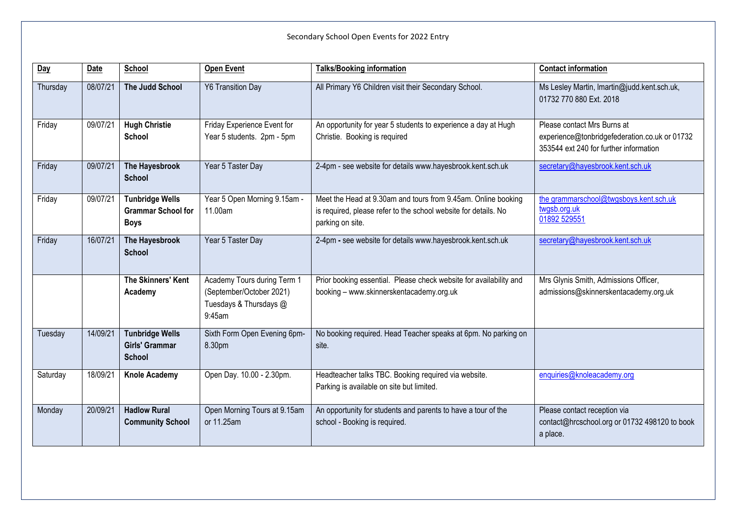| Day      | <b>Date</b> | <b>School</b>                                                      | <b>Open Event</b>                                                                           | <b>Talks/Booking information</b>                                                                                                                     | <b>Contact information</b>                                                                                             |
|----------|-------------|--------------------------------------------------------------------|---------------------------------------------------------------------------------------------|------------------------------------------------------------------------------------------------------------------------------------------------------|------------------------------------------------------------------------------------------------------------------------|
| Thursday | 08/07/21    | The Judd School                                                    | <b>Y6 Transition Day</b>                                                                    | All Primary Y6 Children visit their Secondary School.                                                                                                | Ms Lesley Martin, Imartin@judd.kent.sch.uk,<br>01732 770 880 Ext. 2018                                                 |
| Friday   | 09/07/21    | <b>Hugh Christie</b><br><b>School</b>                              | Friday Experience Event for<br>Year 5 students. 2pm - 5pm                                   | An opportunity for year 5 students to experience a day at Hugh<br>Christie. Booking is required                                                      | Please contact Mrs Burns at<br>experience@tonbridgefederation.co.uk or 01732<br>353544 ext 240 for further information |
| Friday   | 09/07/21    | The Hayesbrook<br><b>School</b>                                    | Year 5 Taster Day                                                                           | 2-4pm - see website for details www.hayesbrook.kent.sch.uk                                                                                           | secretary@hayesbrook.kent.sch.uk                                                                                       |
| Friday   | 09/07/21    | <b>Tunbridge Wells</b><br><b>Grammar School for</b><br><b>Boys</b> | Year 5 Open Morning 9.15am -<br>11.00am                                                     | Meet the Head at 9.30am and tours from 9.45am. Online booking<br>is required, please refer to the school website for details. No<br>parking on site. | the grammarschool@twgsboys.kent.sch.uk<br>twgsb.org.uk<br>01892 529551                                                 |
| Friday   | 16/07/21    | The Hayesbrook<br><b>School</b>                                    | Year 5 Taster Day                                                                           | 2-4pm - see website for details www.hayesbrook.kent.sch.uk                                                                                           | secretary@hayesbrook.kent.sch.uk                                                                                       |
|          |             | The Skinners' Kent<br>Academy                                      | Academy Tours during Term 1<br>(September/October 2021)<br>Tuesdays & Thursdays @<br>9:45am | Prior booking essential. Please check website for availability and<br>booking - www.skinnerskentacademy.org.uk                                       | Mrs Glynis Smith, Admissions Officer,<br>admissions@skinnerskentacademy.org.uk                                         |
| Tuesday  | 14/09/21    | <b>Tunbridge Wells</b><br><b>Girls' Grammar</b><br><b>School</b>   | Sixth Form Open Evening 6pm-<br>8.30pm                                                      | No booking required. Head Teacher speaks at 6pm. No parking on<br>site.                                                                              |                                                                                                                        |
| Saturday | 18/09/21    | <b>Knole Academy</b>                                               | Open Day. 10.00 - 2.30pm.                                                                   | Headteacher talks TBC. Booking required via website.<br>Parking is available on site but limited.                                                    | enquiries@knoleacademy.org                                                                                             |
| Monday   | 20/09/21    | <b>Hadlow Rural</b><br><b>Community School</b>                     | Open Morning Tours at 9.15am<br>or 11.25am                                                  | An opportunity for students and parents to have a tour of the<br>school - Booking is required.                                                       | Please contact reception via<br>contact@hrcschool.org or 01732 498120 to book<br>a place.                              |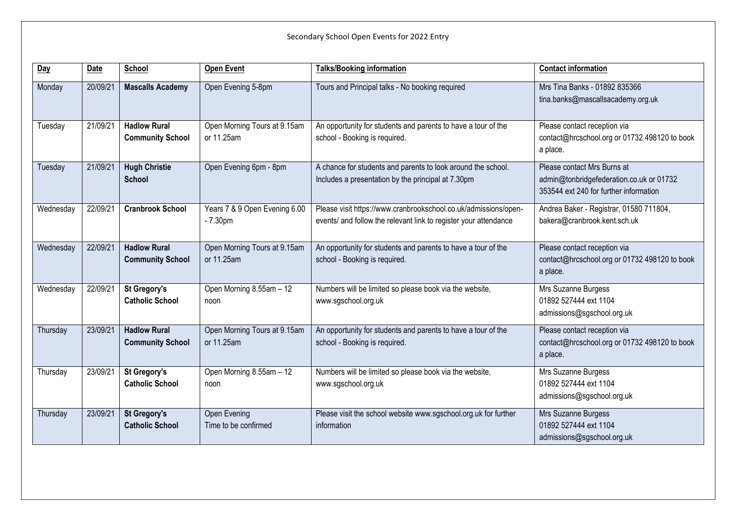| Day       | <b>Date</b> | <b>School</b>                                  | <b>Open Event</b>                          | <b>Talks/Booking information</b>                                                                                                    | <b>Contact information</b>                                                                                        |
|-----------|-------------|------------------------------------------------|--------------------------------------------|-------------------------------------------------------------------------------------------------------------------------------------|-------------------------------------------------------------------------------------------------------------------|
| Monday    | 20/09/21    | <b>Mascalls Academy</b>                        | Open Evening 5-8pm                         | Tours and Principal talks - No booking required                                                                                     | Mrs Tina Banks - 01892 835366<br>tina.banks@mascallsacademy.org.uk                                                |
| Tuesday   | 21/09/21    | <b>Hadlow Rural</b><br><b>Community School</b> | Open Morning Tours at 9.15am<br>or 11.25am | An opportunity for students and parents to have a tour of the<br>school - Booking is required.                                      | Please contact reception via<br>contact@hrcschool.org or 01732 498120 to book<br>a place.                         |
| Tuesday   | 21/09/21    | <b>Hugh Christie</b><br><b>School</b>          | Open Evening 6pm - 8pm                     | A chance for students and parents to look around the school.<br>Includes a presentation by the principal at 7.30pm                  | Please contact Mrs Burns at<br>admin@tonbridgefederation.co.uk or 01732<br>353544 ext 240 for further information |
| Wednesday | 22/09/21    | <b>Cranbrook School</b>                        | Years 7 & 9 Open Evening 6.00<br>$-7.30pm$ | Please visit https://www.cranbrookschool.co.uk/admissions/open-<br>events/ and follow the relevant link to register your attendance | Andrea Baker - Registrar, 01580 711804,<br>bakera@cranbrook.kent.sch.uk                                           |
| Wednesday | 22/09/21    | <b>Hadlow Rural</b><br><b>Community School</b> | Open Morning Tours at 9.15am<br>or 11.25am | An opportunity for students and parents to have a tour of the<br>school - Booking is required.                                      | Please contact reception via<br>contact@hrcschool.org or 01732 498120 to book<br>a place.                         |
| Wednesday | 22/09/21    | <b>St Gregory's</b><br><b>Catholic School</b>  | Open Morning 8.55am - 12<br>noon           | Numbers will be limited so please book via the website,<br>www.sgschool.org.uk                                                      | Mrs Suzanne Burgess<br>01892 527444 ext 1104<br>admissions@sgschool.org.uk                                        |
| Thursday  | 23/09/21    | <b>Hadlow Rural</b><br><b>Community School</b> | Open Morning Tours at 9.15am<br>or 11.25am | An opportunity for students and parents to have a tour of the<br>school - Booking is required.                                      | Please contact reception via<br>contact@hrcschool.org or 01732 498120 to book<br>a place.                         |
| Thursday  | 23/09/21    | <b>St Gregory's</b><br><b>Catholic School</b>  | Open Morning 8.55am - 12<br>noon           | Numbers will be limited so please book via the website,<br>www.sgschool.org.uk                                                      | Mrs Suzanne Burgess<br>01892 527444 ext 1104<br>admissions@sgschool.org.uk                                        |
| Thursday  | 23/09/21    | <b>St Gregory's</b><br><b>Catholic School</b>  | Open Evening<br>Time to be confirmed       | Please visit the school website www.sgschool.org.uk for further<br>information                                                      | Mrs Suzanne Burgess<br>01892 527444 ext 1104<br>admissions@sgschool.org.uk                                        |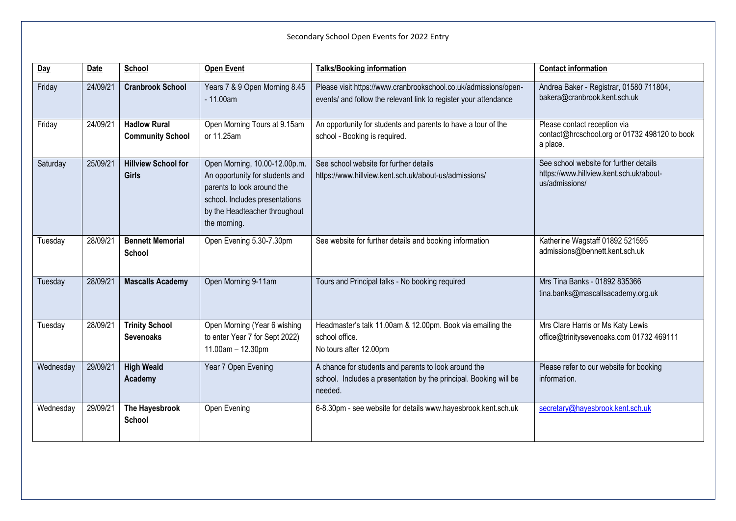| Day       | Date     | School                                         | <b>Open Event</b>                                                                                                                                                                 | <b>Talks/Booking information</b>                                                                                                     | <b>Contact information</b>                                                                          |
|-----------|----------|------------------------------------------------|-----------------------------------------------------------------------------------------------------------------------------------------------------------------------------------|--------------------------------------------------------------------------------------------------------------------------------------|-----------------------------------------------------------------------------------------------------|
|           |          |                                                |                                                                                                                                                                                   |                                                                                                                                      |                                                                                                     |
| Friday    | 24/09/21 | <b>Cranbrook School</b>                        | Years 7 & 9 Open Morning 8.45<br>$-11.00am$                                                                                                                                       | Please visit https://www.cranbrookschool.co.uk/admissions/open-<br>events/ and follow the relevant link to register your attendance  | Andrea Baker - Registrar, 01580 711804,<br>bakera@cranbrook.kent.sch.uk                             |
| Friday    | 24/09/21 | <b>Hadlow Rural</b><br><b>Community School</b> | Open Morning Tours at 9.15am<br>or 11.25am                                                                                                                                        | An opportunity for students and parents to have a tour of the<br>school - Booking is required.                                       | Please contact reception via<br>contact@hrcschool.org or 01732 498120 to book<br>a place.           |
|           |          |                                                |                                                                                                                                                                                   |                                                                                                                                      |                                                                                                     |
| Saturday  | 25/09/21 | <b>Hillview School for</b><br><b>Girls</b>     | Open Morning, 10.00-12.00p.m.<br>An opportunity for students and<br>parents to look around the<br>school. Includes presentations<br>by the Headteacher throughout<br>the morning. | See school website for further details<br>https://www.hillview.kent.sch.uk/about-us/admissions/                                      | See school website for further details<br>https://www.hillview.kent.sch.uk/about-<br>us/admissions/ |
| Tuesday   | 28/09/21 | <b>Bennett Memorial</b><br>School              | Open Evening 5.30-7.30pm                                                                                                                                                          | See website for further details and booking information                                                                              | Katherine Wagstaff 01892 521595<br>admissions@bennett.kent.sch.uk                                   |
| Tuesday   | 28/09/21 | <b>Mascalls Academy</b>                        | Open Morning 9-11am                                                                                                                                                               | Tours and Principal talks - No booking required                                                                                      | Mrs Tina Banks - 01892 835366<br>tina.banks@mascallsacademy.org.uk                                  |
| Tuesday   | 28/09/21 | <b>Trinity School</b><br><b>Sevenoaks</b>      | Open Morning (Year 6 wishing<br>to enter Year 7 for Sept 2022)<br>11.00am - 12.30pm                                                                                               | Headmaster's talk 11.00am & 12.00pm. Book via emailing the<br>school office.<br>No tours after 12.00pm                               | Mrs Clare Harris or Ms Katy Lewis<br>office@trinitysevenoaks.com 01732 469111                       |
| Wednesday | 29/09/21 | <b>High Weald</b><br>Academy                   | Year 7 Open Evening                                                                                                                                                               | A chance for students and parents to look around the<br>school. Includes a presentation by the principal. Booking will be<br>needed. | Please refer to our website for booking<br>information.                                             |
| Wednesday | 29/09/21 | The Hayesbrook<br>School                       | Open Evening                                                                                                                                                                      | 6-8.30pm - see website for details www.hayesbrook.kent.sch.uk                                                                        | secretary@hayesbrook.kent.sch.uk                                                                    |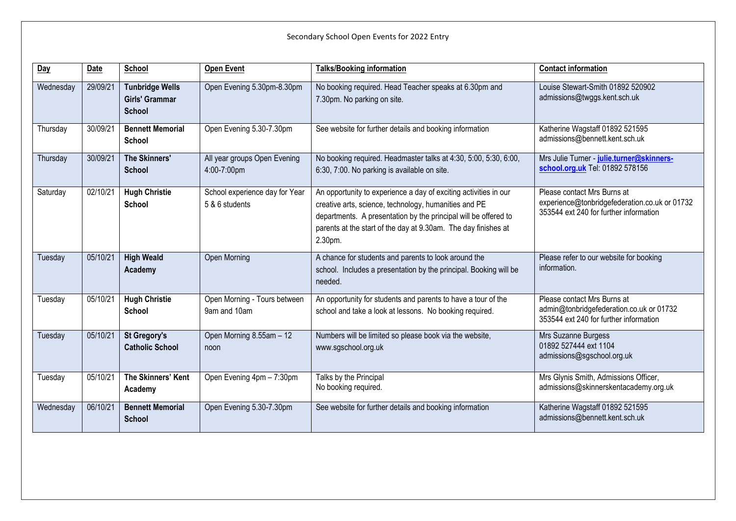| Day       | Date     | <b>School</b>                                                    | <b>Open Event</b>                                | <b>Talks/Booking information</b>                                                                                                                                                                                                                                          | <b>Contact information</b>                                                                                             |
|-----------|----------|------------------------------------------------------------------|--------------------------------------------------|---------------------------------------------------------------------------------------------------------------------------------------------------------------------------------------------------------------------------------------------------------------------------|------------------------------------------------------------------------------------------------------------------------|
| Wednesday | 29/09/21 | <b>Tunbridge Wells</b><br><b>Girls' Grammar</b><br><b>School</b> | Open Evening 5.30pm-8.30pm                       | No booking required. Head Teacher speaks at 6.30pm and<br>7.30pm. No parking on site.                                                                                                                                                                                     | Louise Stewart-Smith 01892 520902<br>admissions@twggs.kent.sch.uk                                                      |
| Thursday  | 30/09/21 | <b>Bennett Memorial</b><br>School                                | Open Evening 5.30-7.30pm                         | See website for further details and booking information                                                                                                                                                                                                                   | Katherine Wagstaff 01892 521595<br>admissions@bennett.kent.sch.uk                                                      |
| Thursday  | 30/09/21 | <b>The Skinners'</b><br><b>School</b>                            | All year groups Open Evening<br>4:00-7:00pm      | No booking required. Headmaster talks at 4:30, 5:00, 5:30, 6:00,<br>6:30, 7:00. No parking is available on site.                                                                                                                                                          | Mrs Julie Turner - julie.turner@skinners-<br>school.org.uk Tel: 01892 578156                                           |
| Saturday  | 02/10/21 | <b>Hugh Christie</b><br><b>School</b>                            | School experience day for Year<br>5 & 6 students | An opportunity to experience a day of exciting activities in our<br>creative arts, science, technology, humanities and PE<br>departments. A presentation by the principal will be offered to<br>parents at the start of the day at 9.30am. The day finishes at<br>2.30pm. | Please contact Mrs Burns at<br>experience@tonbridgefederation.co.uk or 01732<br>353544 ext 240 for further information |
| Tuesday   | 05/10/21 | <b>High Weald</b><br>Academy                                     | Open Morning                                     | A chance for students and parents to look around the<br>school. Includes a presentation by the principal. Booking will be<br>needed.                                                                                                                                      | Please refer to our website for booking<br>information.                                                                |
| Tuesday   | 05/10/21 | <b>Hugh Christie</b><br><b>School</b>                            | Open Morning - Tours between<br>9am and 10am     | An opportunity for students and parents to have a tour of the<br>school and take a look at lessons. No booking required.                                                                                                                                                  | Please contact Mrs Burns at<br>admin@tonbridgefederation.co.uk or 01732<br>353544 ext 240 for further information      |
| Tuesday   | 05/10/21 | <b>St Gregory's</b><br><b>Catholic School</b>                    | Open Morning 8.55am - 12<br>noon                 | Numbers will be limited so please book via the website,<br>www.sgschool.org.uk                                                                                                                                                                                            | Mrs Suzanne Burgess<br>01892 527444 ext 1104<br>admissions@sgschool.org.uk                                             |
| Tuesday   | 05/10/21 | The Skinners' Kent<br>Academy                                    | Open Evening 4pm - 7:30pm                        | Talks by the Principal<br>No booking required.                                                                                                                                                                                                                            | Mrs Glynis Smith, Admissions Officer,<br>admissions@skinnerskentacademy.org.uk                                         |
| Wednesday | 06/10/21 | <b>Bennett Memorial</b><br><b>School</b>                         | Open Evening 5.30-7.30pm                         | See website for further details and booking information                                                                                                                                                                                                                   | Katherine Wagstaff 01892 521595<br>admissions@bennett.kent.sch.uk                                                      |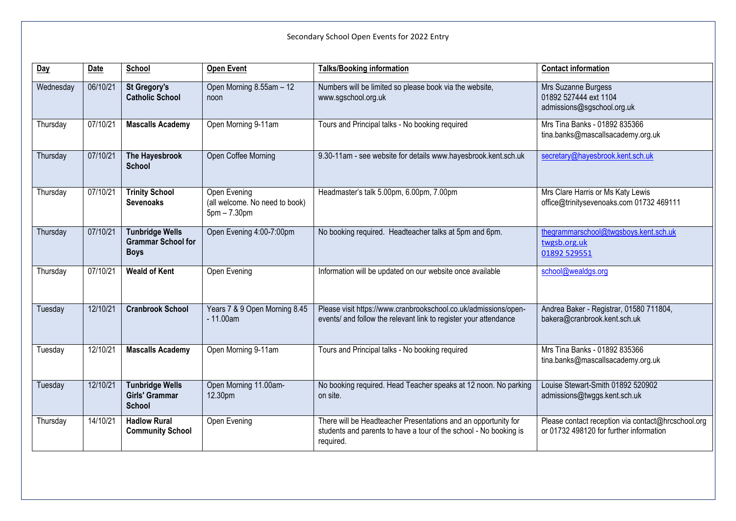| Day       | Date     | School                                                             | <b>Open Event</b>                                                | <b>Talks/Booking information</b>                                                                                                                 | <b>Contact information</b>                                                                    |
|-----------|----------|--------------------------------------------------------------------|------------------------------------------------------------------|--------------------------------------------------------------------------------------------------------------------------------------------------|-----------------------------------------------------------------------------------------------|
| Wednesday | 06/10/21 | <b>St Gregory's</b><br><b>Catholic School</b>                      | Open Morning 8.55am - 12<br>noon                                 | Numbers will be limited so please book via the website,<br>www.sgschool.org.uk                                                                   | Mrs Suzanne Burgess<br>01892 527444 ext 1104<br>admissions@sgschool.org.uk                    |
| Thursday  | 07/10/21 | <b>Mascalls Academy</b>                                            | Open Morning 9-11am                                              | Tours and Principal talks - No booking required                                                                                                  | Mrs Tina Banks - 01892 835366<br>tina.banks@mascallsacademy.org.uk                            |
| Thursday  | 07/10/21 | The Hayesbrook<br><b>School</b>                                    | Open Coffee Morning                                              | 9.30-11am - see website for details www.hayesbrook.kent.sch.uk                                                                                   | secretary@hayesbrook.kent.sch.uk                                                              |
| Thursday  | 07/10/21 | <b>Trinity School</b><br><b>Sevenoaks</b>                          | Open Evening<br>(all welcome. No need to book)<br>$5pm - 7.30pm$ | Headmaster's talk 5.00pm, 6.00pm, 7.00pm                                                                                                         | Mrs Clare Harris or Ms Katy Lewis<br>office@trinitysevenoaks.com 01732 469111                 |
| Thursday  | 07/10/21 | <b>Tunbridge Wells</b><br><b>Grammar School for</b><br><b>Boys</b> | Open Evening 4:00-7:00pm                                         | No booking required. Headteacher talks at 5pm and 6pm.                                                                                           | thegrammarschool@twgsboys.kent.sch.uk<br>twgsb.org.uk<br>01892 529551                         |
| Thursday  | 07/10/21 | <b>Weald of Kent</b>                                               | Open Evening                                                     | Information will be updated on our website once available                                                                                        | school@wealdgs.org                                                                            |
| Tuesday   | 12/10/21 | <b>Cranbrook School</b>                                            | Years 7 & 9 Open Morning 8.45<br>$-11.00am$                      | Please visit https://www.cranbrookschool.co.uk/admissions/open-<br>events/ and follow the relevant link to register your attendance              | Andrea Baker - Registrar, 01580 711804,<br>bakera@cranbrook.kent.sch.uk                       |
| Tuesday   | 12/10/21 | <b>Mascalls Academy</b>                                            | Open Morning 9-11am                                              | Tours and Principal talks - No booking required                                                                                                  | Mrs Tina Banks - 01892 835366<br>tina.banks@mascallsacademy.org.uk                            |
| Tuesday   | 12/10/21 | <b>Tunbridge Wells</b><br><b>Girls' Grammar</b><br><b>School</b>   | Open Morning 11.00am-<br>12.30pm                                 | No booking required. Head Teacher speaks at 12 noon. No parking<br>on site.                                                                      | Louise Stewart-Smith 01892 520902<br>admissions@twggs.kent.sch.uk                             |
| Thursday  | 14/10/21 | <b>Hadlow Rural</b><br><b>Community School</b>                     | Open Evening                                                     | There will be Headteacher Presentations and an opportunity for<br>students and parents to have a tour of the school - No booking is<br>required. | Please contact reception via contact@hrcschool.org<br>or 01732 498120 for further information |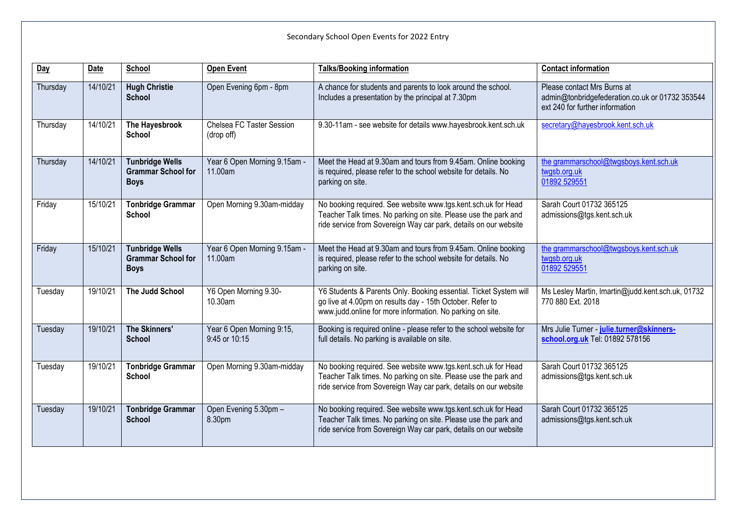| Day      | <b>Date</b> | School                                                             | <b>Open Event</b>                          | <b>Talks/Booking information</b>                                                                                                                                                                     | <b>Contact information</b>                                                                                        |
|----------|-------------|--------------------------------------------------------------------|--------------------------------------------|------------------------------------------------------------------------------------------------------------------------------------------------------------------------------------------------------|-------------------------------------------------------------------------------------------------------------------|
| Thursday | 14/10/21    | <b>Hugh Christie</b><br><b>School</b>                              | Open Evening 6pm - 8pm                     | A chance for students and parents to look around the school.<br>Includes a presentation by the principal at 7.30pm                                                                                   | Please contact Mrs Burns at<br>admin@tonbridgefederation.co.uk or 01732 353544<br>ext 240 for further information |
| Thursday | 14/10/21    | The Hayesbrook<br><b>School</b>                                    | Chelsea FC Taster Session<br>(drop off)    | 9.30-11am - see website for details www.hayesbrook.kent.sch.uk                                                                                                                                       | secretary@hayesbrook.kent.sch.uk                                                                                  |
| Thursday | 14/10/21    | <b>Tunbridge Wells</b><br><b>Grammar School for</b><br><b>Boys</b> | Year 6 Open Morning 9.15am -<br>11.00am    | Meet the Head at 9.30am and tours from 9.45am. Online booking<br>is required, please refer to the school website for details. No<br>parking on site.                                                 | the grammarschool@twgsboys.kent.sch.uk<br>twgsb.org.uk<br>01892 529551                                            |
| Friday   | 15/10/21    | <b>Tonbridge Grammar</b><br><b>School</b>                          | Open Morning 9.30am-midday                 | No booking required. See website www.tgs.kent.sch.uk for Head<br>Teacher Talk times. No parking on site. Please use the park and<br>ride service from Sovereign Way car park, details on our website | Sarah Court 01732 365125<br>admissions@tgs.kent.sch.uk                                                            |
| Friday   | 15/10/21    | <b>Tunbridge Wells</b><br><b>Grammar School for</b><br><b>Boys</b> | Year 6 Open Morning 9.15am -<br>11.00am    | Meet the Head at 9.30am and tours from 9.45am. Online booking<br>is required, please refer to the school website for details. No<br>parking on site.                                                 | the grammarschool@twgsboys.kent.sch.uk<br>twgsb.org.uk<br>01892 529551                                            |
| Tuesday  | 19/10/21    | The Judd School                                                    | Y6 Open Morning 9.30-<br>10.30am           | Y6 Students & Parents Only. Booking essential. Ticket System will<br>go live at 4.00pm on results day - 15th October. Refer to<br>www.judd.online for more information. No parking on site.          | Ms Lesley Martin, Imartin@judd.kent.sch.uk, 01732<br>770 880 Ext. 2018                                            |
| Tuesday  | 19/10/21    | <b>The Skinners'</b><br><b>School</b>                              | Year 6 Open Morning 9:15,<br>9:45 or 10:15 | Booking is required online - please refer to the school website for<br>full details. No parking is available on site.                                                                                | Mrs Julie Turner - julie.turner@skinners-<br>school.org.uk Tel: 01892 578156                                      |
| Tuesday  | 19/10/21    | <b>Tonbridge Grammar</b><br><b>School</b>                          | Open Morning 9.30am-midday                 | No booking required. See website www.tgs.kent.sch.uk for Head<br>Teacher Talk times. No parking on site. Please use the park and<br>ride service from Sovereign Way car park, details on our website | Sarah Court 01732 365125<br>admissions@tgs.kent.sch.uk                                                            |
| Tuesday  | 19/10/21    | <b>Tonbridge Grammar</b><br><b>School</b>                          | Open Evening 5.30pm -<br>8.30pm            | No booking required. See website www.tgs.kent.sch.uk for Head<br>Teacher Talk times. No parking on site. Please use the park and<br>ride service from Sovereign Way car park, details on our website | Sarah Court 01732 365125<br>admissions@tgs.kent.sch.uk                                                            |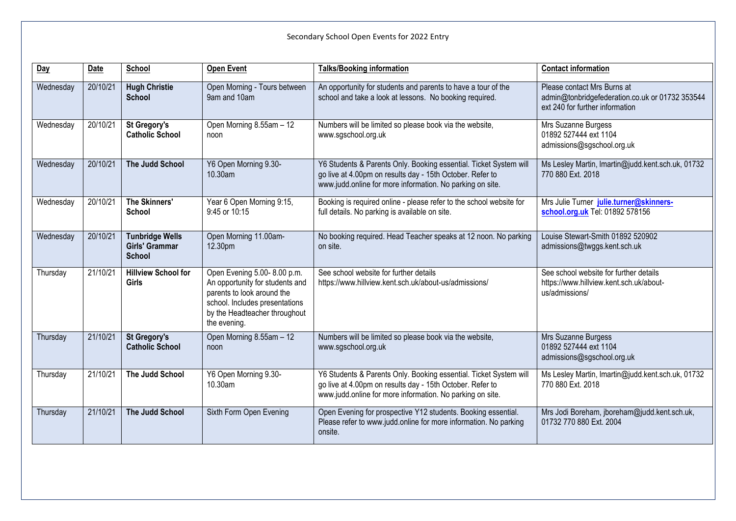| Day       | Date     | School                                                    | <b>Open Event</b>                                                                                                                                                               | <b>Talks/Booking information</b>                                                                                                                                                            | <b>Contact information</b>                                                                                        |
|-----------|----------|-----------------------------------------------------------|---------------------------------------------------------------------------------------------------------------------------------------------------------------------------------|---------------------------------------------------------------------------------------------------------------------------------------------------------------------------------------------|-------------------------------------------------------------------------------------------------------------------|
| Wednesday | 20/10/21 | <b>Hugh Christie</b><br><b>School</b>                     | Open Morning - Tours between<br>9am and 10am                                                                                                                                    | An opportunity for students and parents to have a tour of the<br>school and take a look at lessons. No booking required.                                                                    | Please contact Mrs Burns at<br>admin@tonbridgefederation.co.uk or 01732 353544<br>ext 240 for further information |
| Wednesday | 20/10/21 | <b>St Gregory's</b><br><b>Catholic School</b>             | Open Morning 8.55am - 12<br>noon                                                                                                                                                | Numbers will be limited so please book via the website,<br>www.sgschool.org.uk                                                                                                              | Mrs Suzanne Burgess<br>01892 527444 ext 1104<br>admissions@sgschool.org.uk                                        |
| Wednesday | 20/10/21 | The Judd School                                           | Y6 Open Morning 9.30-<br>10.30am                                                                                                                                                | Y6 Students & Parents Only. Booking essential. Ticket System will<br>go live at 4.00pm on results day - 15th October. Refer to<br>www.judd.online for more information. No parking on site. | Ms Lesley Martin, Imartin@judd.kent.sch.uk, 01732<br>770 880 Ext. 2018                                            |
| Wednesday | 20/10/21 | <b>The Skinners'</b><br><b>School</b>                     | Year 6 Open Morning 9:15,<br>9:45 or 10:15                                                                                                                                      | Booking is required online - please refer to the school website for<br>full details. No parking is available on site.                                                                       | Mrs Julie Turner julie.turner@skinners-<br>school.org.uk Tel: 01892 578156                                        |
| Wednesday | 20/10/21 | <b>Tunbridge Wells</b><br>Girls' Grammar<br><b>School</b> | Open Morning 11.00am-<br>12.30pm                                                                                                                                                | No booking required. Head Teacher speaks at 12 noon. No parking<br>on site.                                                                                                                 | Louise Stewart-Smith 01892 520902<br>admissions@twggs.kent.sch.uk                                                 |
| Thursday  | 21/10/21 | <b>Hillview School for</b><br><b>Girls</b>                | Open Evening 5.00-8.00 p.m.<br>An opportunity for students and<br>parents to look around the<br>school. Includes presentations<br>by the Headteacher throughout<br>the evening. | See school website for further details<br>https://www.hillview.kent.sch.uk/about-us/admissions/                                                                                             | See school website for further details<br>https://www.hillview.kent.sch.uk/about-<br>us/admissions/               |
| Thursday  | 21/10/21 | <b>St Gregory's</b><br><b>Catholic School</b>             | Open Morning 8.55am - 12<br>noon                                                                                                                                                | Numbers will be limited so please book via the website,<br>www.sgschool.org.uk                                                                                                              | Mrs Suzanne Burgess<br>01892 527444 ext 1104<br>admissions@sgschool.org.uk                                        |
| Thursday  | 21/10/21 | The Judd School                                           | Y6 Open Morning 9.30-<br>10.30am                                                                                                                                                | Y6 Students & Parents Only. Booking essential. Ticket System will<br>go live at 4.00pm on results day - 15th October. Refer to<br>www.judd.online for more information. No parking on site. | Ms Lesley Martin, Imartin@judd.kent.sch.uk, 01732<br>770 880 Ext. 2018                                            |
| Thursday  | 21/10/21 | The Judd School                                           | Sixth Form Open Evening                                                                                                                                                         | Open Evening for prospective Y12 students. Booking essential.<br>Please refer to www.judd.online for more information. No parking<br>onsite.                                                | Mrs Jodi Boreham, jboreham@judd.kent.sch.uk,<br>01732 770 880 Ext. 2004                                           |